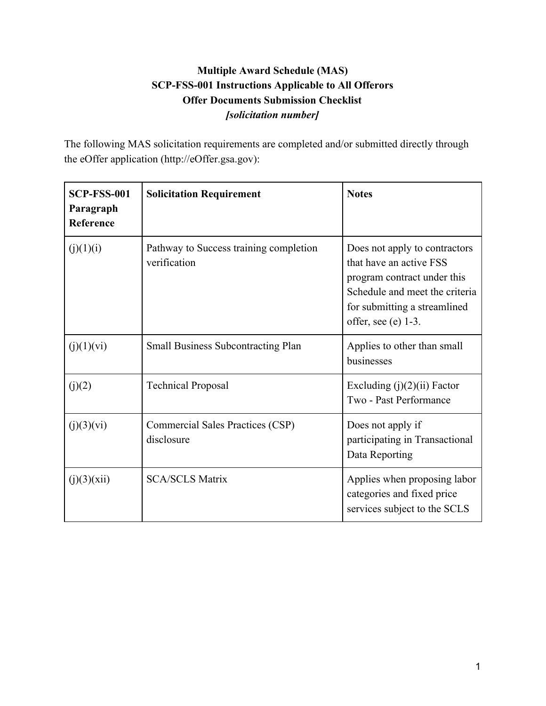## **Multiple Award Schedule (MAS) SCP-FSS-001 Instructions Applicable to All Offerors Offer Documents Submission Checklist** *[solicitation number]*

The following MAS solicitation requirements are completed and/or submitted directly through the eOffer application (http://eOffer.gsa.gov):

| <b>SCP-FSS-001</b><br>Paragraph<br>Reference | <b>Solicitation Requirement</b>                        | <b>Notes</b>                                                                                                                                                                        |
|----------------------------------------------|--------------------------------------------------------|-------------------------------------------------------------------------------------------------------------------------------------------------------------------------------------|
| (j)(1)(i)                                    | Pathway to Success training completion<br>verification | Does not apply to contractors<br>that have an active FSS<br>program contract under this<br>Schedule and meet the criteria<br>for submitting a streamlined<br>offer, see (e) $1-3$ . |
| (j)(1)(vi)                                   | <b>Small Business Subcontracting Plan</b>              | Applies to other than small<br>businesses                                                                                                                                           |
| (j)(2)                                       | <b>Technical Proposal</b>                              | Excluding $(j)(2)(ii)$ Factor<br>Two - Past Performance                                                                                                                             |
| (j)(3)(vi)                                   | Commercial Sales Practices (CSP)<br>disclosure         | Does not apply if<br>participating in Transactional<br>Data Reporting                                                                                                               |
| (j)(3)(xii)                                  | <b>SCA/SCLS Matrix</b>                                 | Applies when proposing labor<br>categories and fixed price<br>services subject to the SCLS                                                                                          |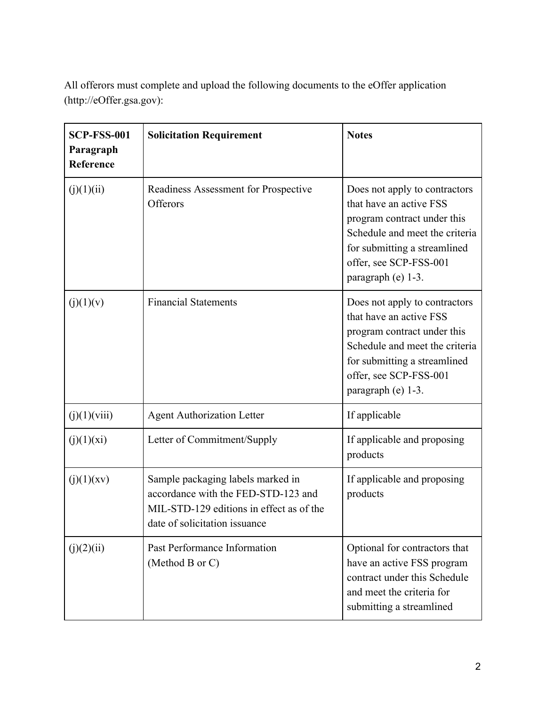| <b>SCP-FSS-001</b><br>Paragraph<br>Reference | <b>Solicitation Requirement</b>                                                                                                                       | <b>Notes</b>                                                                                                                                                                                              |
|----------------------------------------------|-------------------------------------------------------------------------------------------------------------------------------------------------------|-----------------------------------------------------------------------------------------------------------------------------------------------------------------------------------------------------------|
| (j)(1)(ii)                                   | Readiness Assessment for Prospective<br>Offerors                                                                                                      | Does not apply to contractors<br>that have an active FSS<br>program contract under this<br>Schedule and meet the criteria<br>for submitting a streamlined<br>offer, see SCP-FSS-001<br>paragraph (e) 1-3. |
| (j)(1)(v)                                    | <b>Financial Statements</b>                                                                                                                           | Does not apply to contractors<br>that have an active FSS<br>program contract under this<br>Schedule and meet the criteria<br>for submitting a streamlined<br>offer, see SCP-FSS-001<br>paragraph (e) 1-3. |
| (j)(1)(viii)                                 | <b>Agent Authorization Letter</b>                                                                                                                     | If applicable                                                                                                                                                                                             |
| (j)(1)(xi)                                   | Letter of Commitment/Supply                                                                                                                           | If applicable and proposing<br>products                                                                                                                                                                   |
| (j)(1)(xy)                                   | Sample packaging labels marked in<br>accordance with the FED-STD-123 and<br>MIL-STD-129 editions in effect as of the<br>date of solicitation issuance | If applicable and proposing<br>products                                                                                                                                                                   |
| (j)(2)(ii)                                   | Past Performance Information<br>(Method B or C)                                                                                                       | Optional for contractors that<br>have an active FSS program<br>contract under this Schedule<br>and meet the criteria for<br>submitting a streamlined                                                      |

All offerors must complete and upload the following documents to the eOffer application (http://eOffer.gsa.gov):